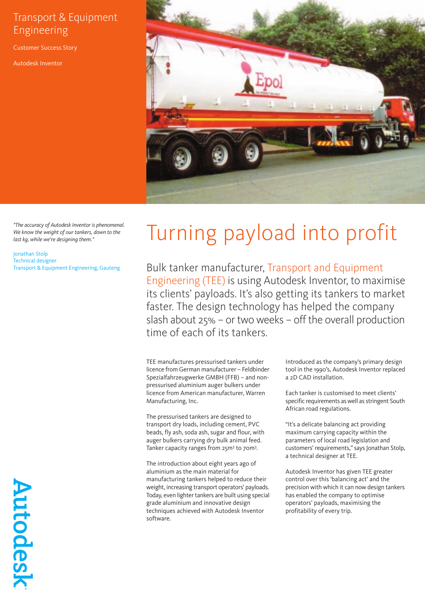## Transport & Equipment Engineering

Customer Success Story

Autodesk Inventor



*"The accuracy of Autodesk Inventor is phenomenal. We know the weight of our tankers, down to the last kg, while we're designing them."*

Jonathan Stolp Technical designer Transport & Equipment Engineering, Gauteng

## Turning payload into profit

Bulk tanker manufacturer, Transport and Equipment Engineering (TEE) is using Autodesk Inventor, to maximise its clients' payloads. It's also getting its tankers to market faster. The design technology has helped the company slash about 25% – or two weeks – off the overall production time of each of its tankers.

TEE manufactures pressurised tankers under licence from German manufacturer – Feldbinder Spezialfahrzeugwerke GMBH (FFB) – and nonpressurised aluminium auger bulkers under licence from American manufacturer, Warren Manufacturing, Inc.

The pressurised tankers are designed to transport dry loads, including cement, PVC beads, fly ash, soda ash, sugar and flour, with auger bulkers carrying dry bulk animal feed. Tanker capacity ranges from 25m3 to 70m3 .

The introduction about eight years ago of aluminium as the main material for manufacturing tankers helped to reduce their weight, increasing transport operators' payloads. Today, even lighter tankers are built using special grade aluminium and innovative design techniques achieved with Autodesk Inventor software.

Introduced as the company's primary design tool in the 1990's, Autodesk Inventor replaced a 2D CAD installation.

Each tanker is customised to meet clients' specific requirements as well as stringent South African road regulations.

"It's a delicate balancing act providing maximum carrying capacity within the parameters of local road legislation and customers' requirements," says Jonathan Stolp, a technical designer at TEE.

Autodesk Inventor has given TEE greater control over this 'balancing act' and the precision with which it can now design tankers has enabled the company to optimise operators' payloads, maximising the profitability of every trip.

Autodesk